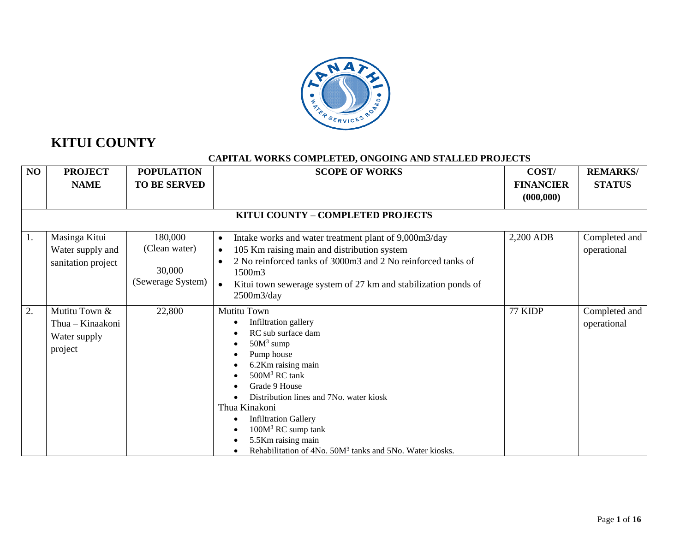

# **KITUI COUNTY**

#### **CAPITAL WORKS COMPLETED, ONGOING AND STALLED PROJECTS**

| NO | <b>PROJECT</b><br><b>NAME</b>                                | <b>POPULATION</b><br><b>TO BE SERVED</b>                | <b>SCOPE OF WORKS</b>                                                                                                                                                                                                                                                                                                                                                       | COST/<br><b>FINANCIER</b><br>(000, 000) | <b>REMARKS/</b><br><b>STATUS</b> |
|----|--------------------------------------------------------------|---------------------------------------------------------|-----------------------------------------------------------------------------------------------------------------------------------------------------------------------------------------------------------------------------------------------------------------------------------------------------------------------------------------------------------------------------|-----------------------------------------|----------------------------------|
|    |                                                              |                                                         | KITUI COUNTY - COMPLETED PROJECTS                                                                                                                                                                                                                                                                                                                                           |                                         |                                  |
| 1. | Masinga Kitui<br>Water supply and<br>sanitation project      | 180,000<br>(Clean water)<br>30,000<br>(Sewerage System) | Intake works and water treatment plant of 9,000m3/day<br>$\bullet$<br>105 Km raising main and distribution system<br>$\bullet$<br>2 No reinforced tanks of 3000m3 and 2 No reinforced tanks of<br>1500m3<br>Kitui town sewerage system of 27 km and stabilization ponds of<br>2500m3/day                                                                                    | 2,200 ADB                               | Completed and<br>operational     |
| 2. | Mutitu Town &<br>Thua - Kinaakoni<br>Water supply<br>project | 22,800                                                  | Mutitu Town<br>Infiltration gallery<br>RC sub surface dam<br>$50M3$ sump<br>Pump house<br>6.2Km raising main<br>500M <sup>3</sup> RC tank<br>Grade 9 House<br>Distribution lines and 7No. water kiosk<br>Thua Kinakoni<br><b>Infiltration Gallery</b><br>$100M3$ RC sump tank<br>5.5Km raising main<br>Rehabilitation of 4No. 50M <sup>3</sup> tanks and 5No. Water kiosks. | 77 KIDP                                 | Completed and<br>operational     |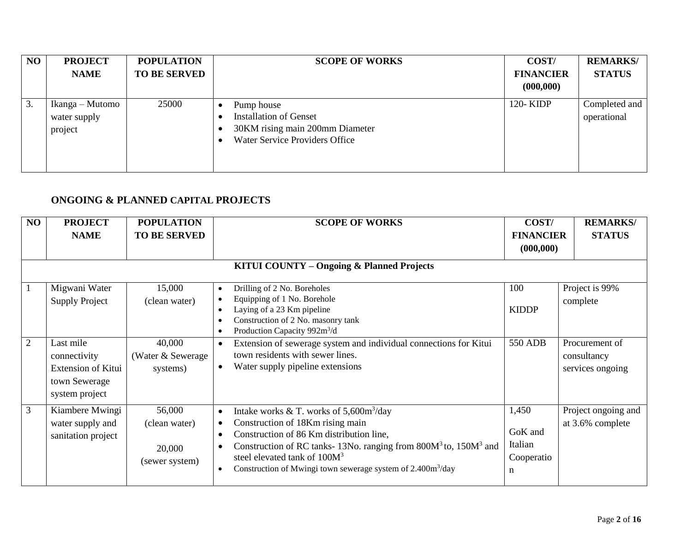| NO | <b>PROJECT</b><br><b>NAME</b>              | <b>POPULATION</b><br><b>TO BE SERVED</b> | <b>SCOPE OF WORKS</b>                                                                                                   | COST/<br><b>FINANCIER</b><br>(000, 000) | <b>REMARKS/</b><br><b>STATUS</b> |
|----|--------------------------------------------|------------------------------------------|-------------------------------------------------------------------------------------------------------------------------|-----------------------------------------|----------------------------------|
| 3. | Ikanga – Mutomo<br>water supply<br>project | 25000                                    | Pump house<br><b>Installation of Genset</b><br>30KM rising main 200mm Diameter<br><b>Water Service Providers Office</b> | 120-KIDP                                | Completed and<br>operational     |

## **ONGOING & PLANNED CAPITAL PROJECTS**

| NO                | <b>PROJECT</b><br><b>NAME</b>                                                | <b>POPULATION</b><br><b>TO BE SERVED</b>            | <b>SCOPE OF WORKS</b>                                                                                                                                                                                                                                                                                                                                                                  | COST/<br><b>FINANCIER</b><br>(000, 000)        | <b>REMARKS/</b><br><b>STATUS</b>             |
|-------------------|------------------------------------------------------------------------------|-----------------------------------------------------|----------------------------------------------------------------------------------------------------------------------------------------------------------------------------------------------------------------------------------------------------------------------------------------------------------------------------------------------------------------------------------------|------------------------------------------------|----------------------------------------------|
|                   |                                                                              |                                                     | <b>KITUI COUNTY - Ongoing &amp; Planned Projects</b>                                                                                                                                                                                                                                                                                                                                   |                                                |                                              |
| $\mathbf{1}$<br>2 | Migwani Water<br><b>Supply Project</b><br>Last mile                          | 15,000<br>(clean water)<br>40,000                   | Drilling of 2 No. Boreholes<br>Equipping of 1 No. Borehole<br>Laying of a 23 Km pipeline<br>Construction of 2 No. masonry tank<br>Production Capacity 992m <sup>3</sup> /d<br>Extension of sewerage system and individual connections for Kitui                                                                                                                                        | 100<br><b>KIDDP</b><br><b>550 ADB</b>          | Project is 99%<br>complete<br>Procurement of |
|                   | connectivity<br><b>Extension of Kitui</b><br>town Sewerage<br>system project | (Water & Sewerage)<br>systems)                      | town residents with sewer lines.<br>Water supply pipeline extensions<br>$\bullet$                                                                                                                                                                                                                                                                                                      |                                                | consultancy<br>services ongoing              |
| $\overline{3}$    | Kiambere Mwingi<br>water supply and<br>sanitation project                    | 56,000<br>(clean water)<br>20,000<br>(sewer system) | Intake works & T. works of $5,600m^3$ /day<br>$\bullet$<br>Construction of 18Km rising main<br>$\bullet$<br>Construction of 86 Km distribution line,<br>Construction of RC tanks-13No. ranging from 800M <sup>3</sup> to, 150M <sup>3</sup> and<br>$\bullet$<br>steel elevated tank of $100M3$<br>Construction of Mwingi town sewerage system of 2.400m <sup>3</sup> /day<br>$\bullet$ | 1,450<br>GoK and<br>Italian<br>Cooperatio<br>n | Project ongoing and<br>at 3.6% complete      |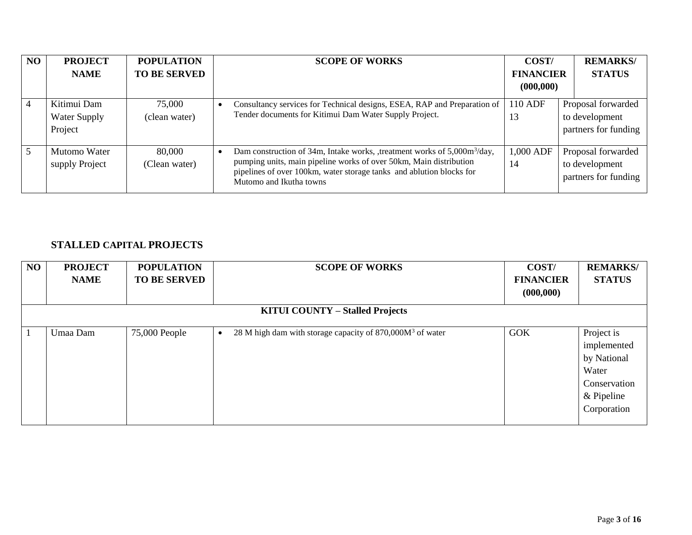| NO | <b>PROJECT</b>                         | <b>POPULATION</b>       | <b>SCOPE OF WORKS</b>                                                                                                                                                                                                                                        | COST/                          | <b>REMARKS/</b>                                              |
|----|----------------------------------------|-------------------------|--------------------------------------------------------------------------------------------------------------------------------------------------------------------------------------------------------------------------------------------------------------|--------------------------------|--------------------------------------------------------------|
|    | <b>NAME</b>                            | <b>TO BE SERVED</b>     |                                                                                                                                                                                                                                                              | <b>FINANCIER</b><br>(000, 000) | <b>STATUS</b>                                                |
|    |                                        |                         |                                                                                                                                                                                                                                                              |                                |                                                              |
|    | Kitimui Dam<br>Water Supply<br>Project | 75,000<br>(clean water) | Consultancy services for Technical designs, ESEA, RAP and Preparation of<br>Tender documents for Kitimui Dam Water Supply Project.                                                                                                                           | 110 ADF<br>13                  | Proposal forwarded<br>to development<br>partners for funding |
| 5  | Mutomo Water<br>supply Project         | 80,000<br>(Clean water) | Dam construction of 34m, Intake works, treatment works of 5,000m <sup>3</sup> /day,<br>pumping units, main pipeline works of over 50km, Main distribution<br>pipelines of over 100km, water storage tanks and ablution blocks for<br>Mutomo and Ikutha towns | 1,000 ADF<br>14                | Proposal forwarded<br>to development<br>partners for funding |

### **STALLED CAPITAL PROJECTS**

| <b>NO</b> | <b>PROJECT</b><br><b>NAME</b>          | <b>POPULATION</b><br><b>TO BE SERVED</b> | <b>SCOPE OF WORKS</b>                                       | COST/<br><b>FINANCIER</b><br>(000, 000) | <b>REMARKS/</b><br><b>STATUS</b>                                                                 |  |  |  |  |  |  |  |
|-----------|----------------------------------------|------------------------------------------|-------------------------------------------------------------|-----------------------------------------|--------------------------------------------------------------------------------------------------|--|--|--|--|--|--|--|
|           | <b>KITUI COUNTY – Stalled Projects</b> |                                          |                                                             |                                         |                                                                                                  |  |  |  |  |  |  |  |
| -1        | Umaa Dam                               | 75,000 People                            | 28 M high dam with storage capacity of $870,000M3$ of water | <b>GOK</b>                              | Project is<br>implemented<br>by National<br>Water<br>Conservation<br>$&$ Pipeline<br>Corporation |  |  |  |  |  |  |  |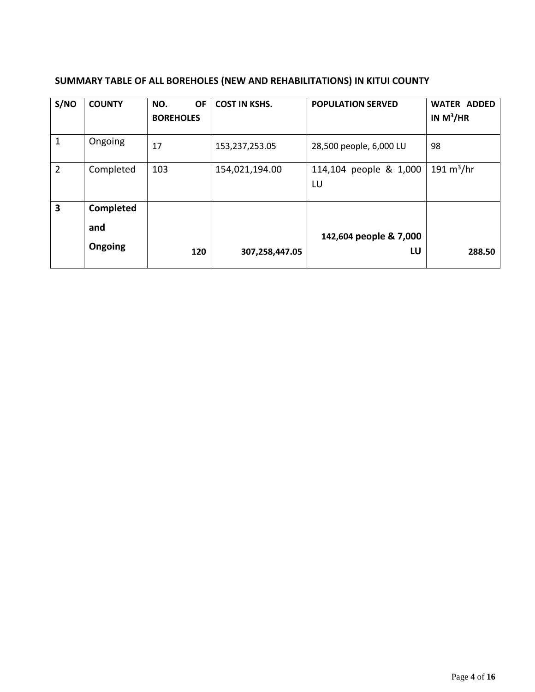| S/NO           | <b>COUNTY</b> | <b>OF</b><br>NO.<br><b>BOREHOLES</b> | <b>COST IN KSHS.</b> | <b>POPULATION SERVED</b>     | <b>WATER ADDED</b><br>IN $M^3/HR$ |
|----------------|---------------|--------------------------------------|----------------------|------------------------------|-----------------------------------|
| 1              | Ongoing       | 17                                   | 153,237,253.05       | 28,500 people, 6,000 LU      | 98                                |
| $\overline{2}$ | Completed     | 103                                  | 154,021,194.00       | 114,104 people & 1,000<br>LU | 191 $m^3/hr$                      |
| 3              | Completed     |                                      |                      |                              |                                   |
|                | and           |                                      |                      | 142,604 people & 7,000       |                                   |
|                | Ongoing       | 120                                  | 307,258,447.05       | LU                           | 288.50                            |

### **SUMMARY TABLE OF ALL BOREHOLES (NEW AND REHABILITATIONS) IN KITUI COUNTY**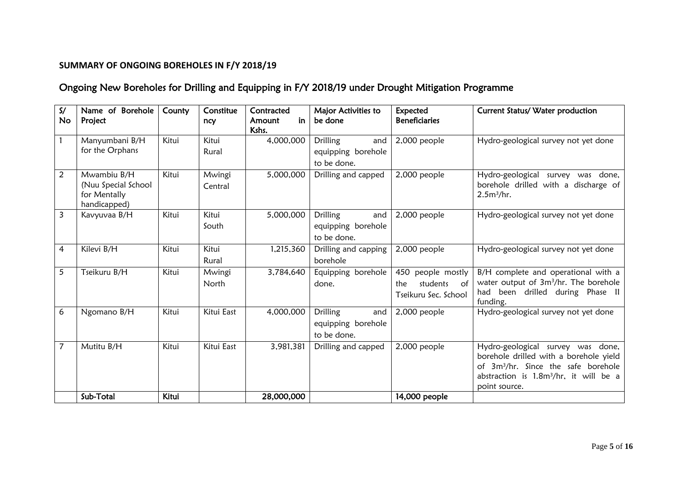### **SUMMARY OF ONGOING BOREHOLES IN F/Y 2018/19**

# Ongoing New Boreholes for Drilling and Equipping in F/Y 2018/19 under Drought Mitigation Programme

| $\mathsf{S}/\mathsf{S}$<br><b>No</b> | Name of Borehole<br>Project                                        | County       | Constitue<br>ncy  | Contracted<br>in<br>Amount<br>Kshs. | Major Activities to<br>be done                       | Expected<br><b>Beneficiaries</b>                                      | Current Status/ Water production                                                                                                                                                                      |
|--------------------------------------|--------------------------------------------------------------------|--------------|-------------------|-------------------------------------|------------------------------------------------------|-----------------------------------------------------------------------|-------------------------------------------------------------------------------------------------------------------------------------------------------------------------------------------------------|
|                                      | Manyumbani B/H<br>for the Orphans                                  | Kitui        | Kitui<br>Rural    | 4,000,000                           | Drilling<br>and<br>equipping borehole<br>to be done. | 2,000 people                                                          | Hydro-geological survey not yet done                                                                                                                                                                  |
| $\overline{2}$                       | Mwambiu B/H<br>(Nuu Special School<br>for Mentally<br>handicapped) | Kitui        | Mwingi<br>Central | 5,000,000                           | Drilling and capped                                  | 2,000 people                                                          | Hydro-geological<br>survey was done,<br>borehole drilled with a discharge of<br>2.5m <sup>3</sup> /hr.                                                                                                |
| $\overline{3}$                       | Kavyuvaa B/H                                                       | Kitui        | Kitui<br>South    | 5,000,000                           | Drilling<br>and<br>equipping borehole<br>to be done. | 2,000 people                                                          | Hydro-geological survey not yet done                                                                                                                                                                  |
| $\overline{4}$                       | Kilevi B/H                                                         | Kitui        | Kitui<br>Rural    | 1,215,360                           | Drilling and capping<br>borehole                     | 2,000 people                                                          | Hydro-geological survey not yet done                                                                                                                                                                  |
| 5                                    | Tseikuru B/H                                                       | Kitui        | Mwingi<br>North   | 3,784,640                           | Equipping borehole<br>done.                          | people mostly<br>450<br>students<br>the<br>of<br>Tseikuru Sec. School | B/H complete and operational with a<br>water output of 3m <sup>3</sup> /hr. The borehole<br>had been drilled during Phase II<br>funding.                                                              |
| 6                                    | Ngomano B/H                                                        | Kitui        | Kitui East        | 4,000,000                           | Drilling<br>and<br>equipping borehole<br>to be done. | 2,000 people                                                          | Hydro-geological survey not yet done                                                                                                                                                                  |
| $\overline{7}$                       | Mutitu B/H                                                         | Kitui        | Kitui East        | 3,981,381                           | Drilling and capped                                  | 2,000 people                                                          | Hydro-geological survey was done,<br>borehole drilled with a borehole yield<br>of 3m <sup>3</sup> /hr. Since the safe borehole<br>abstraction is 1.8m <sup>3</sup> /hr, it will be a<br>point source. |
|                                      | Sub-Total                                                          | <b>Kitui</b> |                   | 28,000,000                          |                                                      | 14,000 people                                                         |                                                                                                                                                                                                       |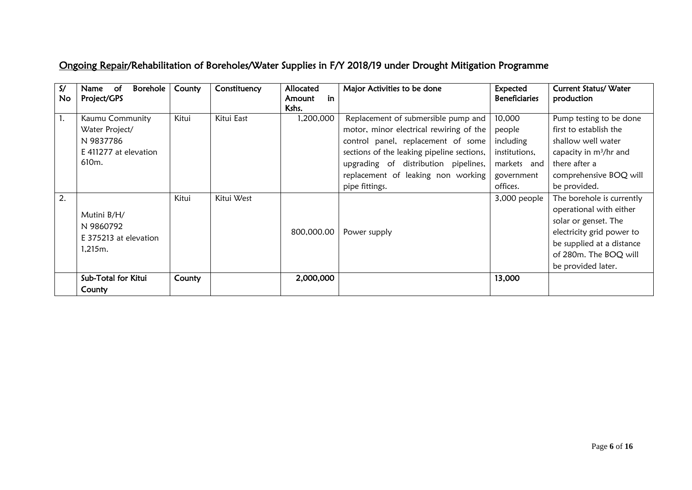# Ongoing Repair/Rehabilitation of Boreholes/Water Supplies in F/Y 2018/19 under Drought Mitigation Programme

| S/<br>No | Borehole<br>of.<br>Name<br>Project/GPS                                                        | County | Constituency | Allocated<br>in<br>Amount<br>Kshs. | Major Activities to be done                                                                                                                                                                                                                                        | Expected<br><b>Beneficiaries</b>                                                        | Current Status/ Water<br>production                                                                                                                                                   |
|----------|-----------------------------------------------------------------------------------------------|--------|--------------|------------------------------------|--------------------------------------------------------------------------------------------------------------------------------------------------------------------------------------------------------------------------------------------------------------------|-----------------------------------------------------------------------------------------|---------------------------------------------------------------------------------------------------------------------------------------------------------------------------------------|
| 1.       | Kaumu Community<br>Water Project/<br>N 9837786<br>E 411277 at elevation<br>610 <sub>m</sub> . | Kitui  | Kitui East   | 1,200,000                          | Replacement of submersible pump and<br>motor, minor electrical rewiring of the<br>control panel, replacement of some<br>sections of the leaking pipeline sections,<br>upgrading of distribution pipelines,<br>replacement of leaking non working<br>pipe fittings. | 10,000<br>people<br>including<br>institutions,<br>markets and<br>government<br>offices. | Pump testing to be done<br>first to establish the<br>shallow well water<br>capacity in m <sup>3</sup> /hr and<br>there after a<br>comprehensive BOQ will<br>be provided.              |
| 2.       | Mutini B/H/<br>N 9860792<br>E 375213 at elevation<br>1.215m.                                  | Kitui  | Kitui West   | 800,000.00                         | Power supply                                                                                                                                                                                                                                                       | 3,000 people                                                                            | The borehole is currently<br>operational with either<br>solar or genset. The<br>electricity grid power to<br>be supplied at a distance<br>of 280m. The BOQ will<br>be provided later. |
|          | Sub-Total for Kitui<br>County                                                                 | County |              | 2,000,000                          |                                                                                                                                                                                                                                                                    | 13,000                                                                                  |                                                                                                                                                                                       |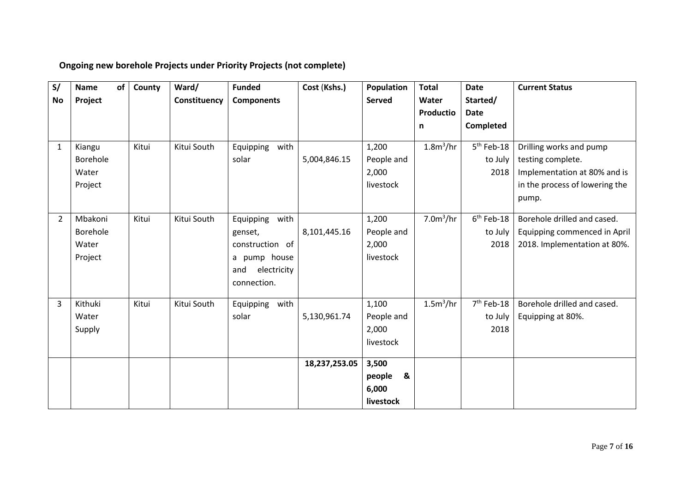# **Ongoing new borehole Projects under Priority Projects (not complete)**

| S/           | <b>Name</b> | of | County | Ward/        | <b>Funded</b>      | Cost (Kshs.)  | Population    | <b>Total</b>          | <b>Date</b>  | <b>Current Status</b>          |
|--------------|-------------|----|--------|--------------|--------------------|---------------|---------------|-----------------------|--------------|--------------------------------|
| No           | Project     |    |        | Constituency | <b>Components</b>  |               | <b>Served</b> | Water                 | Started/     |                                |
|              |             |    |        |              |                    |               |               | Productio             | <b>Date</b>  |                                |
|              |             |    |        |              |                    |               |               | n                     | Completed    |                                |
|              |             |    |        |              |                    |               |               |                       |              |                                |
| $\mathbf{1}$ | Kiangu      |    | Kitui  | Kitui South  | Equipping<br>with  |               | 1,200         | 1.8m <sup>3</sup> /hr | $5th$ Feb-18 | Drilling works and pump        |
|              | Borehole    |    |        |              | solar              | 5,004,846.15  | People and    |                       | to July      | testing complete.              |
|              | Water       |    |        |              |                    |               | 2,000         |                       | 2018         | Implementation at 80% and is   |
|              | Project     |    |        |              |                    |               | livestock     |                       |              | in the process of lowering the |
|              |             |    |        |              |                    |               |               |                       |              | pump.                          |
|              |             |    |        |              |                    |               |               |                       |              |                                |
| $2^{\circ}$  | Mbakoni     |    | Kitui  | Kitui South  | with<br>Equipping  |               | 1,200         | 7.0m <sup>3</sup> /hr | $6th$ Feb-18 | Borehole drilled and cased.    |
|              | Borehole    |    |        |              | genset,            | 8,101,445.16  | People and    |                       | to July      | Equipping commenced in April   |
|              | Water       |    |        |              | construction of    |               | 2,000         |                       | 2018         | 2018. Implementation at 80%.   |
|              | Project     |    |        |              | a pump house       |               | livestock     |                       |              |                                |
|              |             |    |        |              | electricity<br>and |               |               |                       |              |                                |
|              |             |    |        |              | connection.        |               |               |                       |              |                                |
| 3            | Kithuki     |    | Kitui  | Kitui South  | with<br>Equipping  |               | 1,100         | 1.5m <sup>3</sup> /hr | $7th$ Feb-18 | Borehole drilled and cased.    |
|              | Water       |    |        |              | solar              | 5,130,961.74  | People and    |                       | to July      | Equipping at 80%.              |
|              | Supply      |    |        |              |                    |               | 2,000         |                       | 2018         |                                |
|              |             |    |        |              |                    |               | livestock     |                       |              |                                |
|              |             |    |        |              |                    |               |               |                       |              |                                |
|              |             |    |        |              |                    | 18,237,253.05 | 3,500         |                       |              |                                |
|              |             |    |        |              |                    |               | &<br>people   |                       |              |                                |
|              |             |    |        |              |                    |               | 6,000         |                       |              |                                |
|              |             |    |        |              |                    |               | livestock     |                       |              |                                |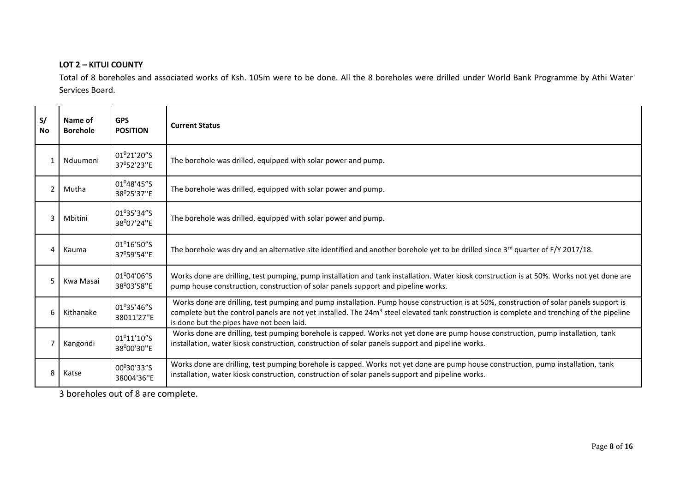#### **LOT 2 – KITUI COUNTY**

Total of 8 boreholes and associated works of Ksh. 105m were to be done. All the 8 boreholes were drilled under World Bank Programme by Athi Water Services Board.

| S/<br><b>No</b> | Name of<br><b>Borehole</b> | <b>GPS</b><br><b>POSITION</b>             | <b>Current Status</b>                                                                                                                                                                                                                                                                                                                          |
|-----------------|----------------------------|-------------------------------------------|------------------------------------------------------------------------------------------------------------------------------------------------------------------------------------------------------------------------------------------------------------------------------------------------------------------------------------------------|
| 1               | Nduumoni                   | 01º21'20"S<br>37°52'23"E                  | The borehole was drilled, equipped with solar power and pump.                                                                                                                                                                                                                                                                                  |
| 2               | Mutha                      | 01 <sup>0</sup> 48'45"S<br>38°25'37"E     | The borehole was drilled, equipped with solar power and pump.                                                                                                                                                                                                                                                                                  |
| 3               | Mbitini                    | $01^{0}35'34''$ S<br>38°07'24"E           | The borehole was drilled, equipped with solar power and pump.                                                                                                                                                                                                                                                                                  |
| 4               | Kauma                      | $01^016'50''S$<br>37 <sup>0</sup> 59'54"E | The borehole was dry and an alternative site identified and another borehole yet to be drilled since $3^{rd}$ quarter of F/Y 2017/18.                                                                                                                                                                                                          |
| 5.              | Kwa Masai                  | 01º04'06"S<br>38°03'58"E                  | Works done are drilling, test pumping, pump installation and tank installation. Water kiosk construction is at 50%. Works not yet done are<br>pump house construction, construction of solar panels support and pipeline works.                                                                                                                |
| 6               | Kithanake                  | 01°35'46"S<br>38011'27"E                  | Works done are drilling, test pumping and pump installation. Pump house construction is at 50%, construction of solar panels support is<br>complete but the control panels are not yet installed. The 24m <sup>3</sup> steel elevated tank construction is complete and trenching of the pipeline<br>is done but the pipes have not been laid. |
| 7               | Kangondi                   | 01 <sup>0</sup> 11'10"S<br>38°00'30"E     | Works done are drilling, test pumping borehole is capped. Works not yet done are pump house construction, pump installation, tank<br>installation, water kiosk construction, construction of solar panels support and pipeline works.                                                                                                          |
| 8               | Katse                      | 00°30'33"S<br>38004'36"E                  | Works done are drilling, test pumping borehole is capped. Works not yet done are pump house construction, pump installation, tank<br>installation, water kiosk construction, construction of solar panels support and pipeline works.                                                                                                          |

3 boreholes out of 8 are complete.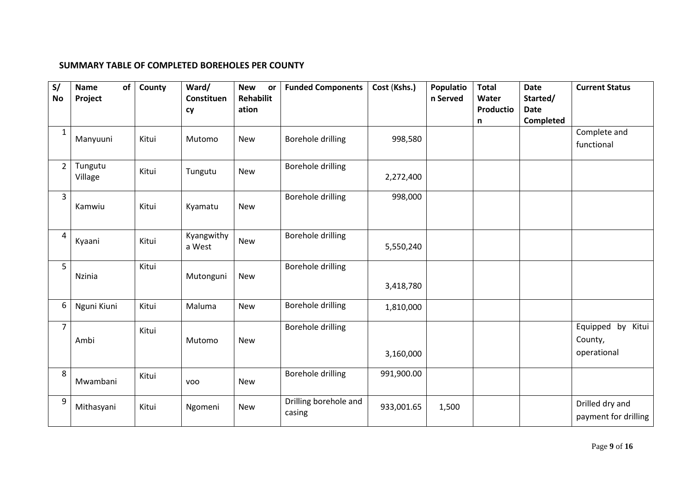#### **SUMMARY TABLE OF COMPLETED BOREHOLES PER COUNTY**

| S/<br><b>No</b> | of<br><b>Name</b><br>Project | County | Ward/<br>Constituen<br>cy | <b>New</b><br>or<br><b>Rehabilit</b><br>ation | <b>Funded Components</b>        | Cost (Kshs.) | Populatio<br>n Served | <b>Total</b><br>Water<br><b>Productio</b> | <b>Date</b><br>Started/<br><b>Date</b> | <b>Current Status</b>                       |
|-----------------|------------------------------|--------|---------------------------|-----------------------------------------------|---------------------------------|--------------|-----------------------|-------------------------------------------|----------------------------------------|---------------------------------------------|
|                 |                              |        |                           |                                               |                                 |              |                       | n                                         | Completed                              |                                             |
| $\mathbf{1}$    | Manyuuni                     | Kitui  | Mutomo                    | <b>New</b>                                    | <b>Borehole drilling</b>        | 998,580      |                       |                                           |                                        | Complete and<br>functional                  |
| $\overline{2}$  | Tungutu<br>Village           | Kitui  | Tungutu                   | <b>New</b>                                    | Borehole drilling               | 2,272,400    |                       |                                           |                                        |                                             |
| $\overline{3}$  | Kamwiu                       | Kitui  | Kyamatu                   | <b>New</b>                                    | <b>Borehole drilling</b>        | 998,000      |                       |                                           |                                        |                                             |
| $\overline{a}$  | Kyaani                       | Kitui  | Kyangwithy<br>a West      | <b>New</b>                                    | <b>Borehole drilling</b>        | 5,550,240    |                       |                                           |                                        |                                             |
| 5               | Nzinia                       | Kitui  | Mutonguni                 | <b>New</b>                                    | <b>Borehole drilling</b>        | 3,418,780    |                       |                                           |                                        |                                             |
| 6               | Nguni Kiuni                  | Kitui  | Maluma                    | <b>New</b>                                    | <b>Borehole drilling</b>        | 1,810,000    |                       |                                           |                                        |                                             |
| $\overline{7}$  | Ambi                         | Kitui  | Mutomo                    | <b>New</b>                                    | <b>Borehole drilling</b>        | 3,160,000    |                       |                                           |                                        | Equipped by Kitui<br>County,<br>operational |
| 8               | Mwambani                     | Kitui  | <b>VOO</b>                | <b>New</b>                                    | <b>Borehole drilling</b>        | 991,900.00   |                       |                                           |                                        |                                             |
| 9               | Mithasyani                   | Kitui  | Ngomeni                   | <b>New</b>                                    | Drilling borehole and<br>casing | 933,001.65   | 1,500                 |                                           |                                        | Drilled dry and<br>payment for drilling     |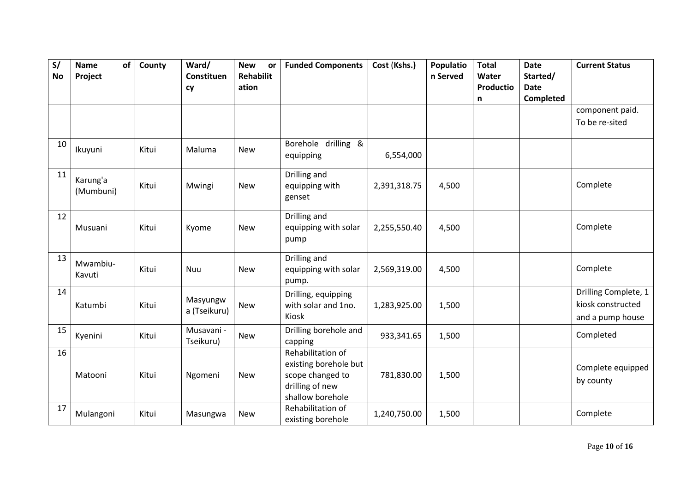| S/        | of<br><b>Name</b>     | County | Ward/<br>Constituen      | <b>New</b><br>or<br><b>Rehabilit</b> | <b>Funded Components</b>                                                                              | Cost (Kshs.) | Populatio<br>n Served | <b>Total</b><br>Water | <b>Date</b><br>Started/ | <b>Current Status</b>                                         |
|-----------|-----------------------|--------|--------------------------|--------------------------------------|-------------------------------------------------------------------------------------------------------|--------------|-----------------------|-----------------------|-------------------------|---------------------------------------------------------------|
| <b>No</b> | Project               |        | cy                       | ation                                |                                                                                                       |              |                       | Productio             | <b>Date</b>             |                                                               |
|           |                       |        |                          |                                      |                                                                                                       |              |                       | n                     | Completed               |                                                               |
|           |                       |        |                          |                                      |                                                                                                       |              |                       |                       |                         | component paid.                                               |
|           |                       |        |                          |                                      |                                                                                                       |              |                       |                       |                         | To be re-sited                                                |
| 10        | Ikuyuni               | Kitui  | Maluma                   | <b>New</b>                           | Borehole drilling &<br>equipping                                                                      | 6,554,000    |                       |                       |                         |                                                               |
| 11        | Karung'a<br>(Mumbuni) | Kitui  | Mwingi                   | <b>New</b>                           | Drilling and<br>equipping with<br>genset                                                              | 2,391,318.75 | 4,500                 |                       |                         | Complete                                                      |
| 12        | Musuani               | Kitui  | Kyome                    | <b>New</b>                           | Drilling and<br>equipping with solar<br>pump                                                          | 2,255,550.40 | 4,500                 |                       |                         | Complete                                                      |
| 13        | Mwambiu-<br>Kavuti    | Kitui  | Nuu                      | <b>New</b>                           | Drilling and<br>equipping with solar<br>pump.                                                         | 2,569,319.00 | 4,500                 |                       |                         | Complete                                                      |
| 14        | Katumbi               | Kitui  | Masyungw<br>a (Tseikuru) | <b>New</b>                           | Drilling, equipping<br>with solar and 1no.<br>Kiosk                                                   | 1,283,925.00 | 1,500                 |                       |                         | Drilling Complete, 1<br>kiosk constructed<br>and a pump house |
| 15        | Kyenini               | Kitui  | Musavani -<br>Tseikuru)  | <b>New</b>                           | Drilling borehole and<br>capping                                                                      | 933,341.65   | 1,500                 |                       |                         | Completed                                                     |
| 16        | Matooni               | Kitui  | Ngomeni                  | <b>New</b>                           | Rehabilitation of<br>existing borehole but<br>scope changed to<br>drilling of new<br>shallow borehole | 781,830.00   | 1,500                 |                       |                         | Complete equipped<br>by county                                |
| 17        | Mulangoni             | Kitui  | Masungwa                 | <b>New</b>                           | Rehabilitation of<br>existing borehole                                                                | 1,240,750.00 | 1,500                 |                       |                         | Complete                                                      |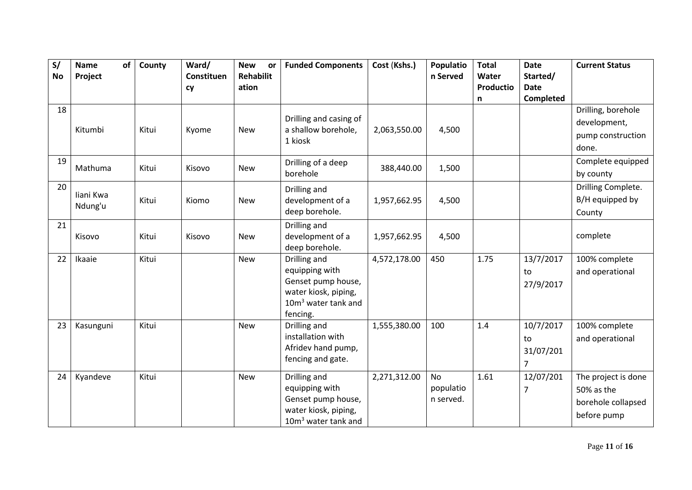| S/        | of<br><b>Name</b>    | County | Ward/            | <b>New</b><br>or          | <b>Funded Components</b>                                                                                                    | Cost (Kshs.) | Populatio                           | <b>Total</b>       | <b>Date</b>                                    | <b>Current Status</b>                                                  |
|-----------|----------------------|--------|------------------|---------------------------|-----------------------------------------------------------------------------------------------------------------------------|--------------|-------------------------------------|--------------------|------------------------------------------------|------------------------------------------------------------------------|
| <b>No</b> | Project              |        | Constituen<br>cy | <b>Rehabilit</b><br>ation |                                                                                                                             |              | n Served                            | Water<br>Productio | Started/<br><b>Date</b>                        |                                                                        |
|           |                      |        |                  |                           |                                                                                                                             |              |                                     | n                  | Completed                                      |                                                                        |
| 18        | Kitumbi              | Kitui  | Kyome            | <b>New</b>                | Drilling and casing of<br>a shallow borehole,<br>1 kiosk                                                                    | 2,063,550.00 | 4,500                               |                    |                                                | Drilling, borehole<br>development,<br>pump construction<br>done.       |
| 19        | Mathuma              | Kitui  | Kisovo           | <b>New</b>                | Drilling of a deep<br>borehole                                                                                              | 388,440.00   | 1,500                               |                    |                                                | Complete equipped<br>by county                                         |
| 20        | liani Kwa<br>Ndung'u | Kitui  | Kiomo            | <b>New</b>                | Drilling and<br>development of a<br>deep borehole.                                                                          | 1,957,662.95 | 4,500                               |                    |                                                | Drilling Complete.<br>B/H equipped by<br>County                        |
| 21        | Kisovo               | Kitui  | Kisovo           | <b>New</b>                | Drilling and<br>development of a<br>deep borehole.                                                                          | 1,957,662.95 | 4,500                               |                    |                                                | complete                                                               |
| 22        | Ikaaie               | Kitui  |                  | <b>New</b>                | Drilling and<br>equipping with<br>Genset pump house,<br>water kiosk, piping,<br>10m <sup>3</sup> water tank and<br>fencing. | 4,572,178.00 | 450                                 | 1.75               | 13/7/2017<br>to<br>27/9/2017                   | 100% complete<br>and operational                                       |
| 23        | Kasunguni            | Kitui  |                  | <b>New</b>                | Drilling and<br>installation with<br>Afridev hand pump,<br>fencing and gate.                                                | 1,555,380.00 | 100                                 | 1.4                | 10/7/2017<br>to<br>31/07/201<br>$\overline{7}$ | 100% complete<br>and operational                                       |
| 24        | Kyandeve             | Kitui  |                  | <b>New</b>                | Drilling and<br>equipping with<br>Genset pump house,<br>water kiosk, piping,<br>10m <sup>3</sup> water tank and             | 2,271,312.00 | <b>No</b><br>populatio<br>n served. | 1.61               | 12/07/201<br>7                                 | The project is done<br>50% as the<br>borehole collapsed<br>before pump |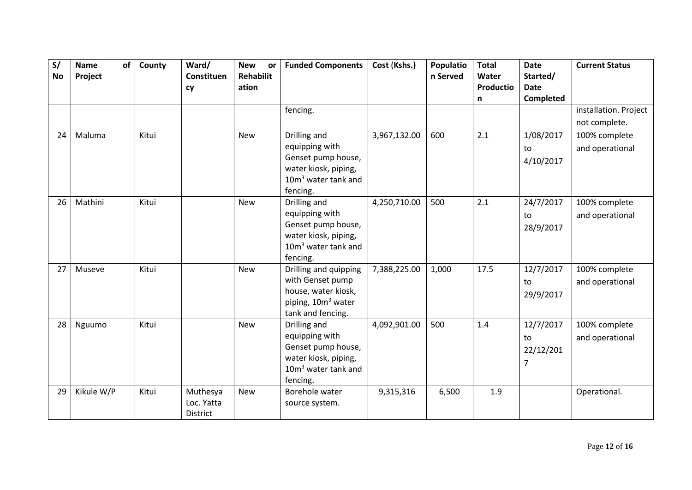| S/<br><b>No</b> | of<br><b>Name</b><br>Project | County | Ward/<br>Constituen<br>cy          | <b>New</b><br>or<br><b>Rehabilit</b><br>ation | <b>Funded Components</b>                                                                                                    | Cost (Kshs.) | Populatio<br>n Served | <b>Total</b><br>Water<br>Productio | <b>Date</b><br>Started/<br><b>Date</b><br><b>Completed</b> | <b>Current Status</b>                  |
|-----------------|------------------------------|--------|------------------------------------|-----------------------------------------------|-----------------------------------------------------------------------------------------------------------------------------|--------------|-----------------------|------------------------------------|------------------------------------------------------------|----------------------------------------|
|                 |                              |        |                                    |                                               | fencing.                                                                                                                    |              |                       | n                                  |                                                            | installation. Project<br>not complete. |
| 24              | Maluma                       | Kitui  |                                    | <b>New</b>                                    | Drilling and<br>equipping with<br>Genset pump house,<br>water kiosk, piping,<br>$10m3$ water tank and<br>fencing.           | 3,967,132.00 | 600                   | 2.1                                | 1/08/2017<br>to<br>4/10/2017                               | 100% complete<br>and operational       |
| 26              | Mathini                      | Kitui  |                                    | <b>New</b>                                    | Drilling and<br>equipping with<br>Genset pump house,<br>water kiosk, piping,<br>$10m3$ water tank and<br>fencing.           | 4,250,710.00 | 500                   | 2.1                                | 24/7/2017<br>to<br>28/9/2017                               | 100% complete<br>and operational       |
| 27              | Museve                       | Kitui  |                                    | <b>New</b>                                    | Drilling and quipping<br>with Genset pump<br>house, water kiosk,<br>piping, 10m <sup>3</sup> water<br>tank and fencing.     | 7,388,225.00 | 1,000                 | 17.5                               | 12/7/2017<br>to<br>29/9/2017                               | 100% complete<br>and operational       |
| 28              | Nguumo                       | Kitui  |                                    | <b>New</b>                                    | Drilling and<br>equipping with<br>Genset pump house,<br>water kiosk, piping,<br>10m <sup>3</sup> water tank and<br>fencing. | 4,092,901.00 | 500                   | 1.4                                | 12/7/2017<br>to<br>22/12/201<br>7                          | 100% complete<br>and operational       |
| 29              | Kikule W/P                   | Kitui  | Muthesya<br>Loc. Yatta<br>District | <b>New</b>                                    | Borehole water<br>source system.                                                                                            | 9,315,316    | 6,500                 | 1.9                                |                                                            | Operational.                           |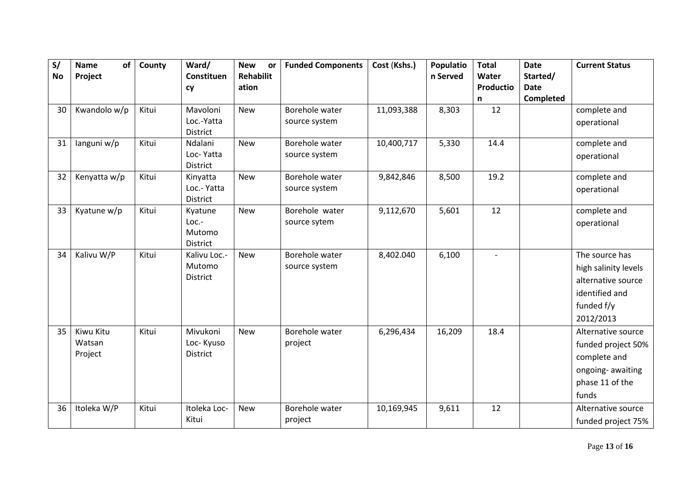| S/        | of<br><b>Name</b> | County | Ward/                      | <b>New</b><br>or | <b>Funded Components</b> | Cost (Kshs.) | Populatio | <b>Total</b> | <b>Date</b> | <b>Current Status</b> |
|-----------|-------------------|--------|----------------------------|------------------|--------------------------|--------------|-----------|--------------|-------------|-----------------------|
| <b>No</b> | Project           |        | Constituen                 | <b>Rehabilit</b> |                          |              | n Served  | Water        | Started/    |                       |
|           |                   |        | cy                         | ation            |                          |              |           | Productio    | <b>Date</b> |                       |
|           |                   |        |                            |                  |                          |              |           | n            | Completed   |                       |
| 30        | Kwandolo w/p      | Kitui  | Mavoloni                   | <b>New</b>       | Borehole water           | 11,093,388   | 8,303     | 12           |             | complete and          |
|           |                   |        | Loc.-Yatta                 |                  | source system            |              |           |              |             | operational           |
| 31        |                   | Kitui  | <b>District</b><br>Ndalani | <b>New</b>       | Borehole water           | 10,400,717   | 5,330     | 14.4         |             | complete and          |
|           | languni w/p       |        | Loc-Yatta                  |                  | source system            |              |           |              |             |                       |
|           |                   |        | <b>District</b>            |                  |                          |              |           |              |             | operational           |
| 32        | Kenyatta w/p      | Kitui  | Kinyatta                   | <b>New</b>       | Borehole water           | 9,842,846    | 8,500     | 19.2         |             | complete and          |
|           |                   |        | Loc.- Yatta                |                  | source system            |              |           |              |             | operational           |
|           |                   |        | District                   |                  |                          |              |           |              |             |                       |
| 33        | Kyatune w/p       | Kitui  | Kyatune                    | <b>New</b>       | Borehole water           | 9,112,670    | 5,601     | 12           |             | complete and          |
|           |                   |        | Loc.-                      |                  | source sytem             |              |           |              |             | operational           |
|           |                   |        | Mutomo                     |                  |                          |              |           |              |             |                       |
|           |                   |        | <b>District</b>            |                  |                          |              |           |              |             |                       |
| 34        | Kalivu W/P        | Kitui  | Kalivu Loc .-              | <b>New</b>       | Borehole water           | 8,402.040    | 6,100     |              |             | The source has        |
|           |                   |        | Mutomo<br><b>District</b>  |                  | source system            |              |           |              |             | high salinity levels  |
|           |                   |        |                            |                  |                          |              |           |              |             | alternative source    |
|           |                   |        |                            |                  |                          |              |           |              |             | identified and        |
|           |                   |        |                            |                  |                          |              |           |              |             | funded f/y            |
|           |                   |        |                            |                  |                          |              |           |              |             | 2012/2013             |
| 35        | Kiwu Kitu         | Kitui  | Mivukoni                   | <b>New</b>       | Borehole water           | 6,296,434    | 16,209    | 18.4         |             | Alternative source    |
|           | Watsan            |        | Loc-Kyuso                  |                  | project                  |              |           |              |             | funded project 50%    |
|           | Project           |        | <b>District</b>            |                  |                          |              |           |              |             | complete and          |
|           |                   |        |                            |                  |                          |              |           |              |             | ongoing-awaiting      |
|           |                   |        |                            |                  |                          |              |           |              |             | phase 11 of the       |
|           |                   |        |                            |                  |                          |              |           |              |             | funds                 |
| 36        | Itoleka W/P       | Kitui  | Itoleka Loc-               | <b>New</b>       | Borehole water           | 10,169,945   | 9,611     | 12           |             | Alternative source    |
|           |                   |        | Kitui                      |                  | project                  |              |           |              |             | funded project 75%    |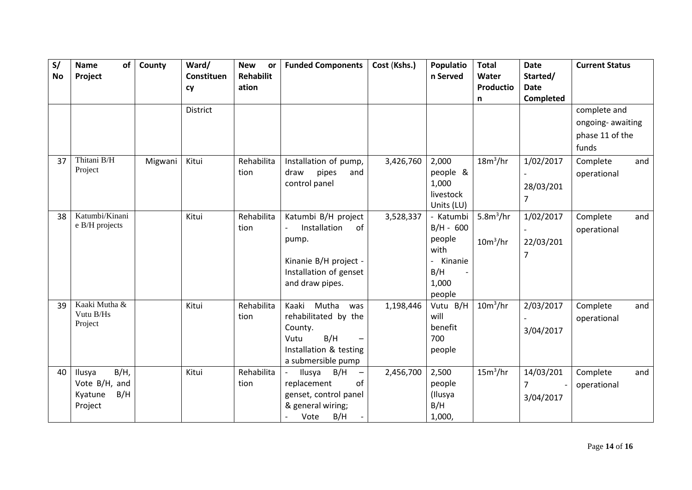| S/ | of<br><b>Name</b>          | County  | Ward/           | <b>New</b><br>or | <b>Funded Components</b>                  | Cost (Kshs.) | Populatio                 | <b>Total</b>         | <b>Date</b>      | <b>Current Status</b> |     |
|----|----------------------------|---------|-----------------|------------------|-------------------------------------------|--------------|---------------------------|----------------------|------------------|-----------------------|-----|
| No | Project                    |         | Constituen      | <b>Rehabilit</b> |                                           |              | n Served                  | Water                | Started/         |                       |     |
|    |                            |         | cy              | ation            |                                           |              |                           | Productio            | <b>Date</b>      |                       |     |
|    |                            |         |                 |                  |                                           |              |                           | n                    | <b>Completed</b> |                       |     |
|    |                            |         | <b>District</b> |                  |                                           |              |                           |                      |                  | complete and          |     |
|    |                            |         |                 |                  |                                           |              |                           |                      |                  | ongoing-awaiting      |     |
|    |                            |         |                 |                  |                                           |              |                           |                      |                  | phase 11 of the       |     |
|    |                            |         |                 |                  |                                           |              |                           |                      |                  | funds                 |     |
| 37 | Thitani B/H                | Migwani | Kitui           | Rehabilita       | Installation of pump,                     | 3,426,760    | 2,000                     | $18m^3/hr$           | 1/02/2017        | Complete              | and |
|    | Project                    |         |                 | tion             | pipes<br>draw<br>and                      |              | people &                  |                      |                  | operational           |     |
|    |                            |         |                 |                  | control panel                             |              | 1,000                     |                      | 28/03/201        |                       |     |
|    |                            |         |                 |                  |                                           |              | livestock                 |                      | 7                |                       |     |
|    |                            |         |                 |                  |                                           |              | Units (LU)                |                      |                  |                       |     |
| 38 | Katumbi/Kinani             |         | Kitui           | Rehabilita       | Katumbi B/H project                       | 3,528,337    | - Katumbi                 | 5.8 $m^3$ /hr        | 1/02/2017        | Complete              | and |
|    | e B/H projects             |         |                 | tion             | Installation<br>of                        |              | $B/H - 600$               |                      |                  | operational           |     |
|    |                            |         |                 |                  | pump.                                     |              | people                    | $10m^3/hr$           | 22/03/201        |                       |     |
|    |                            |         |                 |                  |                                           |              | with                      |                      | 7                |                       |     |
|    |                            |         |                 |                  | Kinanie B/H project -                     |              | Kinanie<br>$\blacksquare$ |                      |                  |                       |     |
|    |                            |         |                 |                  | Installation of genset                    |              | B/H                       |                      |                  |                       |     |
|    |                            |         |                 |                  | and draw pipes.                           |              | 1,000                     |                      |                  |                       |     |
|    |                            |         |                 |                  |                                           |              | people                    |                      |                  |                       |     |
| 39 | Kaaki Mutha &<br>Vutu B/Hs |         | Kitui           | Rehabilita       | Mutha<br>Kaaki<br>was                     | 1,198,446    | Vutu B/H                  | $10m^3/hr$           | 2/03/2017        | Complete              | and |
|    | Project                    |         |                 | tion             | rehabilitated by the                      |              | will                      |                      |                  | operational           |     |
|    |                            |         |                 |                  | County.                                   |              | benefit                   |                      | 3/04/2017        |                       |     |
|    |                            |         |                 |                  | B/H<br>Vutu                               |              | 700                       |                      |                  |                       |     |
|    |                            |         |                 |                  | Installation & testing                    |              | people                    |                      |                  |                       |     |
|    |                            |         |                 |                  | a submersible pump                        |              |                           |                      |                  |                       |     |
| 40 | $B/H$ ,<br>Ilusya          |         | Kitui           | Rehabilita       | Ilusya<br>B/H<br>$\overline{\phantom{m}}$ | 2,456,700    | 2,500                     | 15m <sup>3</sup> /hr | 14/03/201        | Complete              | and |
|    | Vote B/H, and              |         |                 | tion             | of<br>replacement                         |              | people                    |                      | 7                | operational           |     |
|    | B/H<br>Kyatune             |         |                 |                  | genset, control panel                     |              | (Ilusya                   |                      | 3/04/2017        |                       |     |
|    | Project                    |         |                 |                  | & general wiring;                         |              | B/H                       |                      |                  |                       |     |
|    |                            |         |                 |                  | B/H<br>Vote                               |              | 1,000,                    |                      |                  |                       |     |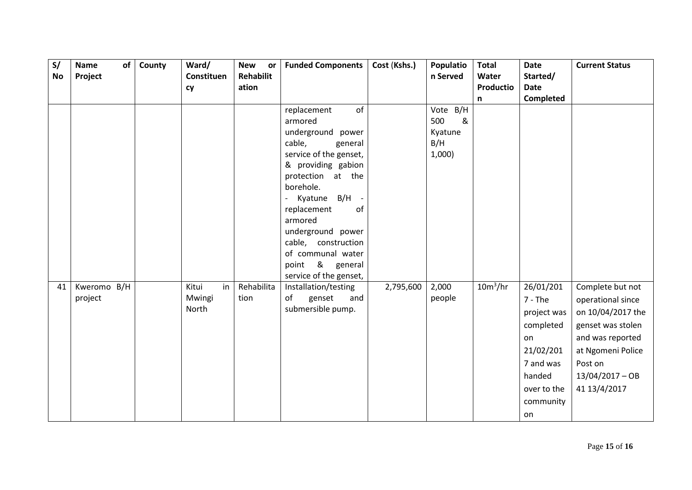| S/        | of<br>Name  | County | Ward/       | <b>New</b><br>or | <b>Funded Components</b>                  | Cost (Kshs.) | Populatio | <b>Total</b>     | <b>Date</b> | <b>Current Status</b> |
|-----------|-------------|--------|-------------|------------------|-------------------------------------------|--------------|-----------|------------------|-------------|-----------------------|
| <b>No</b> | Project     |        | Constituen  | Rehabilit        |                                           |              | n Served  | Water            | Started/    |                       |
|           |             |        | cy          | ation            |                                           |              |           | <b>Productio</b> | <b>Date</b> |                       |
|           |             |        |             |                  |                                           |              |           | $\mathsf{n}$     | Completed   |                       |
|           |             |        |             |                  | of<br>replacement                         |              | Vote B/H  |                  |             |                       |
|           |             |        |             |                  | armored                                   |              | &<br>500  |                  |             |                       |
|           |             |        |             |                  | underground power                         |              | Kyatune   |                  |             |                       |
|           |             |        |             |                  | cable,<br>general                         |              | B/H       |                  |             |                       |
|           |             |        |             |                  | service of the genset,                    |              | $1,000$ ) |                  |             |                       |
|           |             |        |             |                  | & providing gabion                        |              |           |                  |             |                       |
|           |             |        |             |                  | protection at the                         |              |           |                  |             |                       |
|           |             |        |             |                  | borehole.                                 |              |           |                  |             |                       |
|           |             |        |             |                  | Kyatune B/H -<br>$\overline{\phantom{0}}$ |              |           |                  |             |                       |
|           |             |        |             |                  | of<br>replacement                         |              |           |                  |             |                       |
|           |             |        |             |                  | armored                                   |              |           |                  |             |                       |
|           |             |        |             |                  | underground power                         |              |           |                  |             |                       |
|           |             |        |             |                  | cable, construction<br>of communal water  |              |           |                  |             |                       |
|           |             |        |             |                  | point & general                           |              |           |                  |             |                       |
|           |             |        |             |                  | service of the genset,                    |              |           |                  |             |                       |
| 41        | Kweromo B/H |        | in<br>Kitui | Rehabilita       | Installation/testing                      | 2,795,600    | 2,000     | $10m^3/hr$       | 26/01/201   | Complete but not      |
|           | project     |        | Mwingi      | tion             | of<br>genset<br>and                       |              | people    |                  | $7 - The$   | operational since     |
|           |             |        | North       |                  | submersible pump.                         |              |           |                  |             |                       |
|           |             |        |             |                  |                                           |              |           |                  | project was | on 10/04/2017 the     |
|           |             |        |             |                  |                                           |              |           |                  | completed   | genset was stolen     |
|           |             |        |             |                  |                                           |              |           |                  | on          | and was reported      |
|           |             |        |             |                  |                                           |              |           |                  | 21/02/201   | at Ngomeni Police     |
|           |             |        |             |                  |                                           |              |           |                  | 7 and was   | Post on               |
|           |             |        |             |                  |                                           |              |           |                  | handed      | $13/04/2017 - OB$     |
|           |             |        |             |                  |                                           |              |           |                  | over to the | 41 13/4/2017          |
|           |             |        |             |                  |                                           |              |           |                  | community   |                       |
|           |             |        |             |                  |                                           |              |           |                  | on          |                       |
|           |             |        |             |                  |                                           |              |           |                  |             |                       |